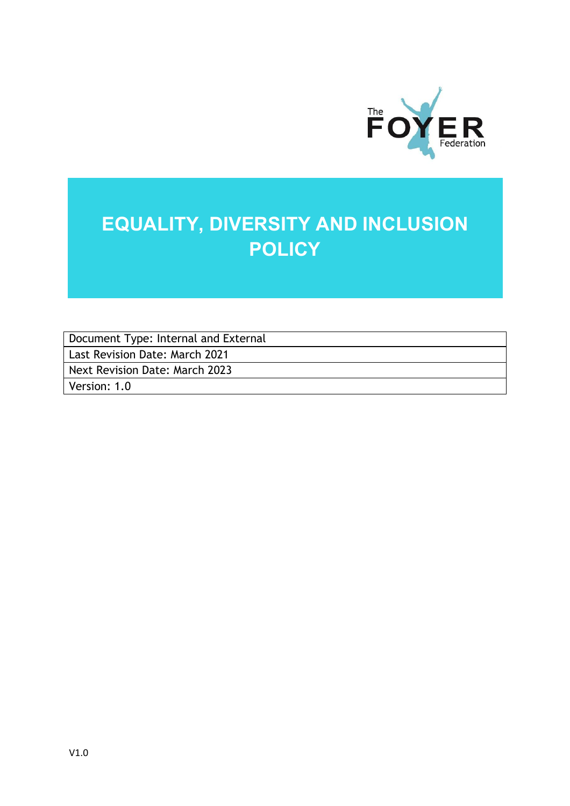

## **EQUALITY, DIVERSITY AND INCLUSION POLICY**

Document Type: Internal and External

Last Revision Date: March 2021

Next Revision Date: March 2023

Version: 1.0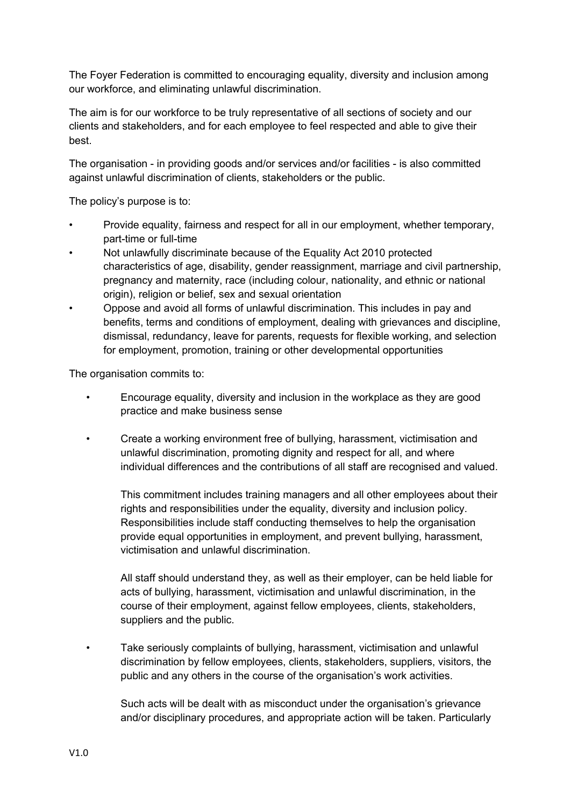The Foyer Federation is committed to encouraging equality, diversity and inclusion among our workforce, and eliminating unlawful discrimination.

The aim is for our workforce to be truly representative of all sections of society and our clients and stakeholders, and for each employee to feel respected and able to give their best.

The organisation - in providing goods and/or services and/or facilities - is also committed against unlawful discrimination of clients, stakeholders or the public.

The policy's purpose is to:

- Provide equality, fairness and respect for all in our employment, whether temporary, part-time or full-time
- Not unlawfully discriminate because of the Equality Act 2010 protected characteristics of age, disability, gender reassignment, marriage and civil partnership, pregnancy and maternity, race (including colour, nationality, and ethnic or national origin), religion or belief, sex and sexual orientation
- Oppose and avoid all forms of unlawful discrimination. This includes in pay and benefits, terms and conditions of employment, dealing with grievances and discipline, dismissal, redundancy, leave for parents, requests for flexible working, and selection for employment, promotion, training or other developmental opportunities

The organisation commits to:

- Encourage equality, diversity and inclusion in the workplace as they are good practice and make business sense
- Create a working environment free of bullying, harassment, victimisation and unlawful discrimination, promoting dignity and respect for all, and where individual differences and the contributions of all staff are recognised and valued.

This commitment includes training managers and all other employees about their rights and responsibilities under the equality, diversity and inclusion policy. Responsibilities include staff conducting themselves to help the organisation provide equal opportunities in employment, and prevent bullying, harassment, victimisation and unlawful discrimination.

All staff should understand they, as well as their employer, can be held liable for acts of bullying, harassment, victimisation and unlawful discrimination, in the course of their employment, against fellow employees, clients, stakeholders, suppliers and the public.

• Take seriously complaints of bullying, harassment, victimisation and unlawful discrimination by fellow employees, clients, stakeholders, suppliers, visitors, the public and any others in the course of the organisation's work activities.

Such acts will be dealt with as misconduct under the organisation's grievance and/or disciplinary procedures, and appropriate action will be taken. Particularly